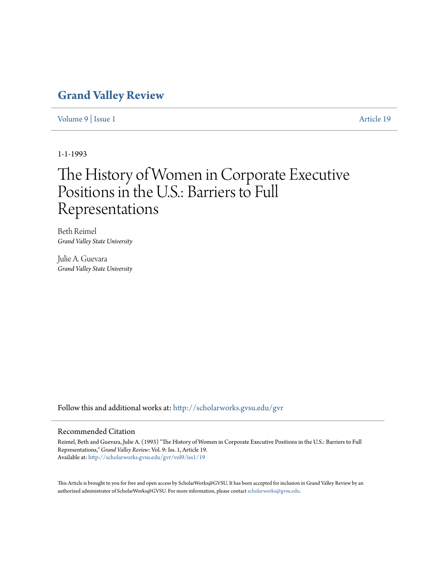### **[Grand Valley Review](http://scholarworks.gvsu.edu/gvr?utm_source=scholarworks.gvsu.edu%2Fgvr%2Fvol9%2Fiss1%2F19&utm_medium=PDF&utm_campaign=PDFCoverPages)**

[Volume 9](http://scholarworks.gvsu.edu/gvr/vol9?utm_source=scholarworks.gvsu.edu%2Fgvr%2Fvol9%2Fiss1%2F19&utm_medium=PDF&utm_campaign=PDFCoverPages) | [Issue 1](http://scholarworks.gvsu.edu/gvr/vol9/iss1?utm_source=scholarworks.gvsu.edu%2Fgvr%2Fvol9%2Fiss1%2F19&utm_medium=PDF&utm_campaign=PDFCoverPages) [Article 19](http://scholarworks.gvsu.edu/gvr/vol9/iss1/19?utm_source=scholarworks.gvsu.edu%2Fgvr%2Fvol9%2Fiss1%2F19&utm_medium=PDF&utm_campaign=PDFCoverPages)

1-1-1993

# The History of Women in Corporate Executive Positions in the U.S.: Barriers to Full Representations

Beth Reimel *Grand Valley State University*

Julie A. Guevara *Grand Valley State University*

Follow this and additional works at: [http://scholarworks.gvsu.edu/gvr](http://scholarworks.gvsu.edu/gvr?utm_source=scholarworks.gvsu.edu%2Fgvr%2Fvol9%2Fiss1%2F19&utm_medium=PDF&utm_campaign=PDFCoverPages)

#### Recommended Citation

Reimel, Beth and Guevara, Julie A. (1993) "The History of Women in Corporate Executive Positions in the U.S.: Barriers to Full Representations," *Grand Valley Review*: Vol. 9: Iss. 1, Article 19. Available at: [http://scholarworks.gvsu.edu/gvr/vol9/iss1/19](http://scholarworks.gvsu.edu/gvr/vol9/iss1/19?utm_source=scholarworks.gvsu.edu%2Fgvr%2Fvol9%2Fiss1%2F19&utm_medium=PDF&utm_campaign=PDFCoverPages)

This Article is brought to you for free and open access by ScholarWorks@GVSU. It has been accepted for inclusion in Grand Valley Review by an authorized administrator of ScholarWorks@GVSU. For more information, please contact [scholarworks@gvsu.edu.](mailto:scholarworks@gvsu.edu)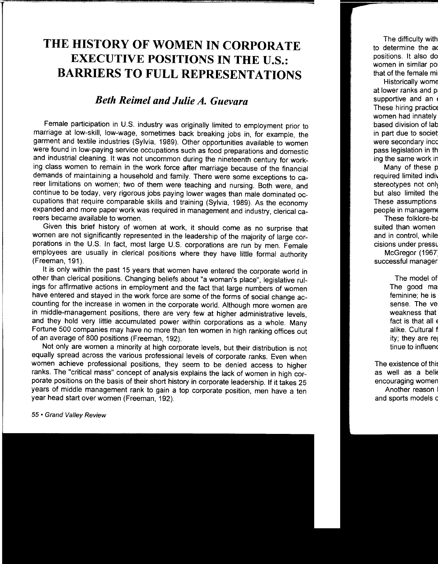## **THE HISTORY OF WOMEN IN CORPORATE EXECUTIVE POSITIONS IN THE U.S.: BARRIERS TO FULL REPRESENTATIONS**

### *Beth Reimel and Julie A. Guevara*

Female participation in U.S. industry was originally limited to employment prior to marriage at low-skill, low-wage, sometimes back breaking jobs in, for example, the garment and textile industries (Sylvia, 1989). Other opportunities available to women were found in low-paying service occupations such as food preparations and domestic and industrial cleaning. It was not uncommon during the nineteenth century for working class women to remain in the work force after marriage because of the financial demands of maintaining a household and family. There were some exceptions to career limitations on women; two of them were teaching and nursing. Both were, and continue to be today, very rigorous jobs paying lower wages than male dominated occupations that require comparable skills and training (Sylvia, 1989). As the economy expanded and more paper work was required in management and industry, clerical careers became available to women.

Given this brief history of women at work, it should come as no surprise that women are not significantly represented in the leadership of the majority of large corporations in the U.S. In fact, most large U.S. corporations are run by men. Female employees are usually in clerical positions where they have little formal authority (Freeman, 191 ).

It is only within the past 15 years that women have entered the corporate world in other than clerical positions. Changing beliefs about "a woman's place", legislative rulings for affirmative actions in employment and the fact that large numbers of women have entered and stayed in the work force are some of the forms of social change accounting for the increase in women in the corporate world. Although more women are in middle-management positions, there are very few at higher administrative levels, and they hold very little accumulated power within corporations as a whole. Many Fortune 500 companies may have no more than ten women in high ranking offices out of an average of 800 positions (Freeman, 192).

Not only are women a minority at high corporate levels, but their distribution is not equally spread across the various professional levels of corporate ranks. Even when women achieve professional positions, they seem to be denied access to higher ranks. The "critical mass" concept of analysis explains the lack of women in high corporate positions on the basis of their short history in corporate leadership. If it takes 25 years of middle management rank to gain a top corporate position, men have a ten year head start over women (Freeman, 192).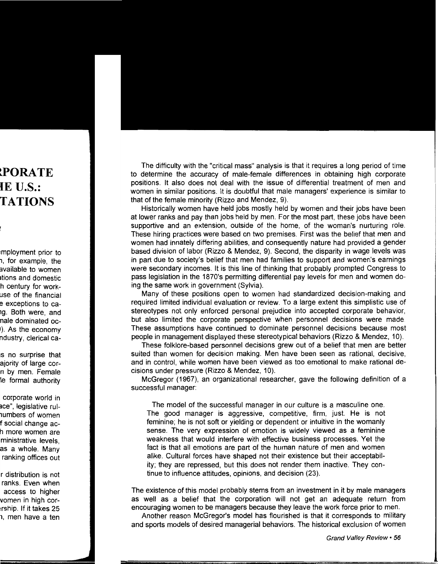The difficulty with the "critical mass" analysis is that it requires a long period of time to determine the accuracy of male-female differences in obtaining high corporate positions. It also does not deal with the issue of differential treatment of men and women in similar positions. It is doubtful that male managers' experience is similar to that of the female minority (Rizzo and Mendez, 9).

Historically women have held jobs mostly held by women and their jobs have been at lower ranks and pay than jobs held by men. For the most part, these jobs have been supportive and an extension, outside of the home, of the woman's nurturing role. These hiring practices were based on two premises. First was the belief that men and women had innately differing abilities, and consequently nature had provided a gender based division of labor (Rizzo & Mendez, 9). Second, the disparity in wage levels was in part due to society's belief that men had families to support and women's earnings were secondary incomes. It is this line of thinking that probably prompted Congress to pass legislation in the 1870's permitting differential pay levels for men and women doing the same work in government (Sylvia).

Many of these positions open to women had standardized decision-making and required limited individual evaluation or review. To a large extent this simplistic use of stereotypes not only enforced personal prejudice into accepted corporate behavior, but also limited the corporate perspective when personnel decisions were made. These assumptions have continued to dominate personnel decisions because most people in management displayed these stereotypical behaviors (Rizzo & Mendez, 10).

These folklore-based personnel decisions grew out of a belief that men are better suited than women for decision making. Men have been seen as rational, decisive, and in control, while women have been viewed as too emotional to make rational decisions under pressure (Rizzo & Mendez, 10).

McGregor (1967), an organizational researcher, gave the following definition of a successful manager:

The model of the successful manager in our culture is a masculine one. The good manager is aggressive, competitive, firm, just. He is not feminine; he is not soft or yielding or dependent or intuitive in the womanly sense. The very expression of emotion is widely viewed as a feminine weakness that would interfere with effective business processes. Yet the fact is that all emotions are part of the human nature of men and women alike. Cultural forces have shaped not their existence but their acceptability; they are repressed, but this does not render them inactive. They continue to influence attitudes, opinions, and decision (23).

The existence of this model probably stems from an investment in it by male managers as well as a belief that the corporation will not get an adequate return from encouraging women to be managers because they leave the work force prior to men.

Another reason McGregor's model has flourished is that it corresponds to military and sports models of desired managerial behaviors. The historical exclusion of women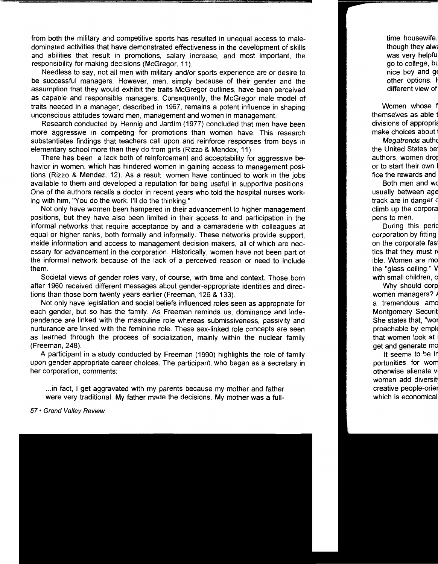from both the military and competitive sports has resulted in unequal access to maledominated activities that have demonstrated effectiveness in the development of skills and abilities that result in promotions, salary increase, and most important, the responsibility for making decisions (McGregor, 11).

Needless to say, not all men with military and/or sports experience are or desire to be successful managers. However, men, simply because of their gender and the assumption that they would exhibit the traits McGregor outlines, have been perceived as capable and responsible managers. Consequently, the McGregor male model of traits needed in a manager, described in 1967, remains a potent influence in shaping unconscious attitudes toward men, management and women in management.

Research conducted by Hennig and Jardim (1977) concluded that men have been more aggressive in competing for promotions than women have. This research substantiates findings that teachers call upon and reinforce responses from boys in elementary school more than they do from girls (Rizzo & Mendex, 11 ).

There has been a lack both of reinforcement and acceptability for aggressive behavior in women, which has hindered women in gaining access to management positions (Rizzo & Mendez, 12). As a result, women have continued to work in the jobs available to them and developed a reputation for being useful in supportive positions. One of the authors recalls a doctor in recent years who told the hospital nurses working with him, "You do the work. I'll do the thinking."

Not only have women been hampered in their advancement to higher management positions, but they have also been limited in their access to and participation in the informal networks that require acceptance by and a camaraderie with colleagues at equal or higher ranks, both formally and informally. These networks provide support, inside information and access to management decision makers, all of which are necessary for advancement in the corporation. Historically, women have not been part of the informal network because of the lack of a perceived reason or need to include them.

Societal views of gender roles vary, of course, with time and context. Those born after 1960 received different messages about gender-appropriate identities and directions than those born twenty years earlier (Freeman, 126 & 133).

Not only have legislation and social beliefs influenced roles seen as appropriate for each gender, but so has the family. As Freeman reminds us, dominance and independence are linked with the masculine role whereas submissiveness, passivity and nurturance are linked with the feminine role. These sex-linked role concepts are seen as learned through the process of socialization, mainly within the nuclear family (Freeman, 248).

A participant in a study conducted by Freeman (1990) highlights the role of family upon gender appropriate career choices. The participant, who began as a secretary in her corporation, comments:

... in fact, I get aggravated with my parents because my mother and father were very traditional. My father made the decisions. My mother was a full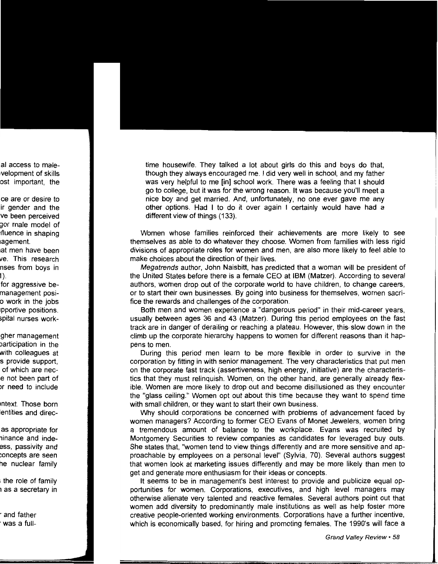time housewife. They talked a lot about girls do this and boys do that, though they always encouraged me. I did very well in school, and my father was very helpful to me [in] school work. There was a feeling that I should go to college, but it was for the wrong reason. It was because you'll meet a nice boy and get married. And, unfortunately, no one ever gave me any other options. Had I to do it over again I certainly would have had a different view of things (133).

Women whose families reinforced their achievements are more likely to see themselves as able to do whatever they choose. Women from families with less rigid divisions of appropriate roles for women and men, are also more likely to feel able to make choices about the direction of their lives.

Megatrends author, John Naisbitt, has predicted that a woman will be president of the United States before there is a female CEO at IBM (Matzer). According to several authors, women drop out of the corporate world to have children, to change careers, or to start their own businesses. By going into business for themselves, women sacrifice the rewards and challenges of the corporation.

Both men and women experience a "dangerous period" in their mid-career years, usually between ages 36 and 43 (Matzer). During this period employees on the fast track are in danger of derailing or reaching a plateau. However, this· slow down in the climb up the corporate hierarchy happens to women for different reasons than it happens to men.

During this period men learn to be more flexible in order to survive in the corporation by fitting in with senior management. The very characteristics that put men on the corporate fast track (assertiveness, high energy, initiative) are the characteristics that they must relinquish. Women, on the other hand, are generally already flexible. Women are more likely to drop out and become disillusioned as they encounter the "glass ceiling." Women opt out about this time because they want to spend time with small children, or they want to start their own business.

Why should corporations be concerned with problems of advancement faced by women managers? According to former CEO Evans of Monet Jewelers, women bring a tremendous amount of balance to the workplace. Evans was recruited by Montgomery Securities to review companies as candidates for leveraged buy outs. She states that, "women tend to view things differently and are more sensitive and approachable by employees on a personal level" (Sylvia, 70). Several authors suggest that women look at marketing issues differently and may be more likely than men to get and generate more enthusiasm for their ideas or concepts.

It seems to be in management's best interest to provide and publicize equal opportunities for women. Corporations, executives, and high level managers may otherwise alienate very talented and reactive females. Several authors point out that women add diversity to predominantly male institutions as well as help foster more creative people-oriented working environments. Corporations have a further incentive, which is economically based, for hiring and promoting females. The 1990's will face a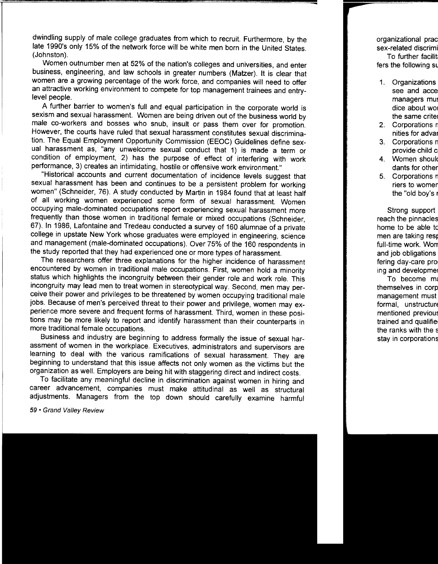dwindling supply of male college graduates from which to recruit. Furthermore, by the late 1990's only 15% of the network force will be white men born in the United States. (Johnston).

Women outnumber men at 52% of the nation's colleges and universities, and enter business, engineering, and law schools in greater numbers (Matzer). It is clear that women are a growing percentage of the work force, and companies will need to offer an attractive working environment to compete for top management trainees and entrylevel people.

A further barrier to women's full and equal participation in the corporate world is sexism and sexual harassment. Women are being driven out of the business world by male co-workers and bosses who snub, insult or pass them over for promotion. However, the courts have ruled that sexual harassment constitutes sexual discrimination. The Equal Employment Opportunity Commission (EEOC) Guidelines define sexual harassment as, "any unwelcome sexual conduct that 1) is made a term or condition of employment, 2) has the purpose of effect of interfering with work performance, 3) creates an intimidating, hostile or offensive work environment."

"Historical accounts and current documentation of incidence levels suggest that sexual harassment has been and continues to be a persistent problem for working women" (Schneider, 76). A study conducted by Martin in 1984 found that at least half of all working women experienced some form of sexual harassment. Women occupying male-dominated occupations report experiencing sexual harassment more frequently than those women in traditional female or mixed occupations (Schneider, 67). In 1986, Lafontaine and Tredeau conducted a survey of 160 alumnae of a private college in upstate New York whose graduates were employed in engineering, science and management (male-dominated occupations). Over 75% of the 160 respondents in the study reported that they had experienced one or more types of harassment.

The researchers offer three explanations for the higher incidence of harassment encountered by women in traditional male occupations. First, women hold a minority status which highlights the incongruity between their gender role and work role. This incongruity may lead men to treat women in stereotypical way. Second, men may perceive their power and privileges to be threatened by women occupying traditional male jobs. Because of men's perceived threat to their power and privilege, women may experience more severe and frequent forms of harassment. Third, women in these positions may be more likely to report and identify harassment than their counterparts in more traditional female occupations.

Business and industry are beginning to address formally the issue of sexual harassment of women in the workplace. Executives, administrators and supervisors are learning to deal with the various ramifications of sexual harassment. They are beginning to understand that this issue affects not only women as the victims but the organization as well. Employers are being hit with staggering direct and indirect costs.

To facilitate any meaningful decline in discrimination against women in hiring and career advancement, companies must make attitudinal as well as structural adjustments. Managers from the top down should carefully examine harmful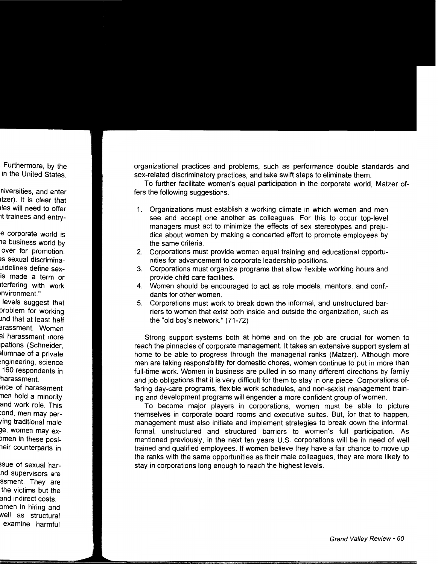organizational practices and problems, such as performance double standards and sex-related discriminatory practices, and take swift steps to eliminate them.

To further facilitate women's equal participation in the corporate world, Matzer offers the following suggestions.

- 1. Organizations must establish a working climate in which women and men see and accept one another as colleagues. For this to occur top-level managers must act to minimize the effects of sex stereotypes and prejudice about women by making a concerted effort to promote employees by the same criteria.
- 2. Corporations must provide women equal training and educational opportunities for advancement to corporate leadership positions.
- 3. Corporations must organize programs that allow flexible working hours and provide child care facilities.
- 4. Women should be encouraged to act as role models, mentors, and confidants for other women.
- 5. Corporations must work to break down the informal, and unstructured barriers to women that exist both inside and outside the organization, such as the "old boy's network." (71-72)

Strong support systems both at home and on the job are crucial for women to reach the pinnacles of corporate management. It takes an extensive support system at home to be able to progress through the managerial ranks (Matzer). Although more men are taking responsibility for domestic chores, women continue to put in more than full-time work. Women in business are pulled in so many different directions by family and job obligations that it is very difficult for them to stay in one piece. Corporations offering day-care programs, flexible work schedules, and non-sexist management training and development programs will engender a more confident group of women.

To become major players in corporations, women must be able to picture themselves in corporate board rooms and executive suites. But, for that to happen, management must also initiate and implement strategies to break down the informal, formal, unstructured and structured barriers to women's full participation. As mentioned previously, in the next ten years U.S. corporations will be in need of well trained and qualified employees. If women believe they have a fair chance to move up the ranks with the same opportunities as their male colleagues, they are more likely to stay in corporations long enough to reach the highest levels.